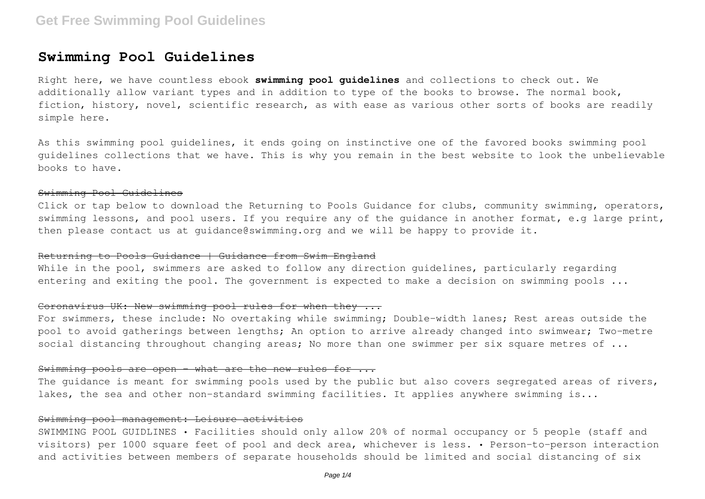# **Swimming Pool Guidelines**

Right here, we have countless ebook **swimming pool guidelines** and collections to check out. We additionally allow variant types and in addition to type of the books to browse. The normal book, fiction, history, novel, scientific research, as with ease as various other sorts of books are readily simple here.

As this swimming pool guidelines, it ends going on instinctive one of the favored books swimming pool guidelines collections that we have. This is why you remain in the best website to look the unbelievable books to have.

#### Swimming Pool Guidelines

Click or tap below to download the Returning to Pools Guidance for clubs, community swimming, operators, swimming lessons, and pool users. If you require any of the guidance in another format, e.g large print, then please contact us at quidance@swimming.org and we will be happy to provide it.

# Returning to Pools Guidance | Guidance from Swim England

While in the pool, swimmers are asked to follow any direction quidelines, particularly regarding entering and exiting the pool. The government is expected to make a decision on swimming pools ...

# Coronavirus UK: New swimming pool rules for when they ...

For swimmers, these include: No overtaking while swimming; Double-width lanes; Rest areas outside the pool to avoid gatherings between lengths; An option to arrive already changed into swimwear; Two-metre social distancing throughout changing areas; No more than one swimmer per six square metres of ...

# Swimming pools are open - what are the new rules for ...

The quidance is meant for swimming pools used by the public but also covers segregated areas of rivers, lakes, the sea and other non-standard swimming facilities. It applies anywhere swimming is...

## Swimming pool management: Leisure activities

SWIMMING POOL GUIDLINES • Facilities should only allow 20% of normal occupancy or 5 people (staff and visitors) per 1000 square feet of pool and deck area, whichever is less. • Person-to-person interaction and activities between members of separate households should be limited and social distancing of six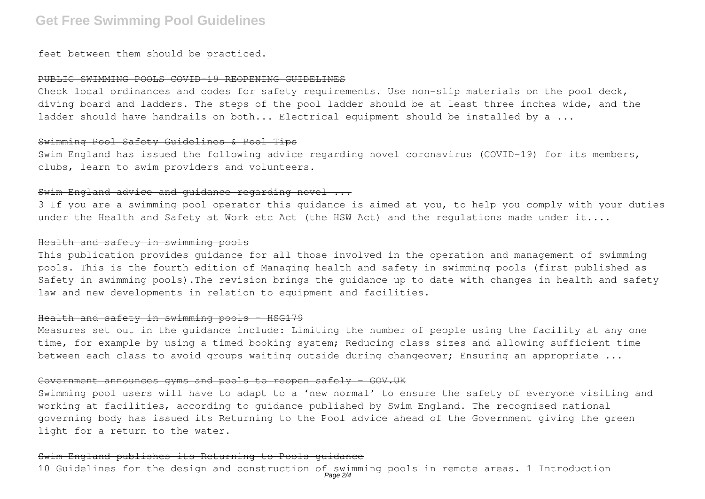# **Get Free Swimming Pool Guidelines**

feet between them should be practiced.

## PUBLIC SWIMMING POOLS COVID-19 REOPENING GUIDELINES

Check local ordinances and codes for safety requirements. Use non-slip materials on the pool deck, diving board and ladders. The steps of the pool ladder should be at least three inches wide, and the ladder should have handrails on both... Electrical equipment should be installed by a ...

# Swimming Pool Safety Guidelines & Pool Tips

Swim England has issued the following advice regarding novel coronavirus (COVID-19) for its members, clubs, learn to swim providers and volunteers.

# Swim England advice and quidance regarding novel ...

3 If you are a swimming pool operator this guidance is aimed at you, to help you comply with your duties under the Health and Safety at Work etc Act (the HSW Act) and the regulations made under it....

#### Health and safety in swimming pools

This publication provides guidance for all those involved in the operation and management of swimming pools. This is the fourth edition of Managing health and safety in swimming pools (first published as Safety in swimming pools).The revision brings the guidance up to date with changes in health and safety law and new developments in relation to equipment and facilities.

#### $Health$  and safety in swimming pools -  $HSG179$

Measures set out in the guidance include: Limiting the number of people using the facility at any one time, for example by using a timed booking system; Reducing class sizes and allowing sufficient time between each class to avoid groups waiting outside during changeover; Ensuring an appropriate ...

# Government announces gyms and pools to reopen safely - GOV.UK

Swimming pool users will have to adapt to a 'new normal' to ensure the safety of everyone visiting and working at facilities, according to guidance published by Swim England. The recognised national governing body has issued its Returning to the Pool advice ahead of the Government giving the green light for a return to the water.

#### Swim England publishes its Returning to Pools guidance

10 Guidelines for the design and construction of swimming pools in remote areas. 1 Introduction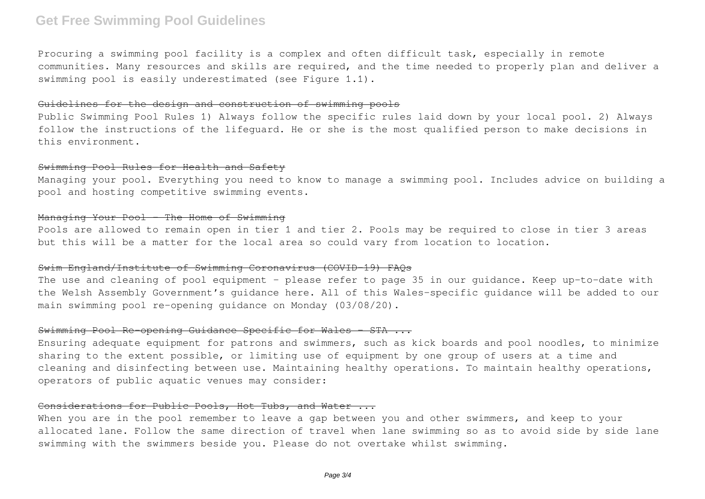# **Get Free Swimming Pool Guidelines**

Procuring a swimming pool facility is a complex and often difficult task, especially in remote communities. Many resources and skills are required, and the time needed to properly plan and deliver a swimming pool is easily underestimated (see Figure 1.1).

#### Guidelines for the design and construction of swimming pools

Public Swimming Pool Rules 1) Always follow the specific rules laid down by your local pool. 2) Always follow the instructions of the lifeguard. He or she is the most qualified person to make decisions in this environment.

# Swimming Pool Rules for Health and Safety

Managing your pool. Everything you need to know to manage a swimming pool. Includes advice on building a pool and hosting competitive swimming events.

### Managing Your Pool - The Home of Swimming

Pools are allowed to remain open in tier 1 and tier 2. Pools may be required to close in tier 3 areas but this will be a matter for the local area so could vary from location to location.

### Swim England/Institute of Swimming Coronavirus (COVID-19) FAQs

The use and cleaning of pool equipment – please refer to page 35 in our guidance. Keep up-to-date with the Welsh Assembly Government's guidance here. All of this Wales-specific guidance will be added to our main swimming pool re-opening guidance on Monday (03/08/20).

## Swimming Pool Re-opening Guidance Specific for Wales – STA ...

Ensuring adequate equipment for patrons and swimmers, such as kick boards and pool noodles, to minimize sharing to the extent possible, or limiting use of equipment by one group of users at a time and cleaning and disinfecting between use. Maintaining healthy operations. To maintain healthy operations, operators of public aquatic venues may consider:

# Considerations for Public Pools, Hot Tubs, and Water ...

When you are in the pool remember to leave a gap between you and other swimmers, and keep to your allocated lane. Follow the same direction of travel when lane swimming so as to avoid side by side lane swimming with the swimmers beside you. Please do not overtake whilst swimming.